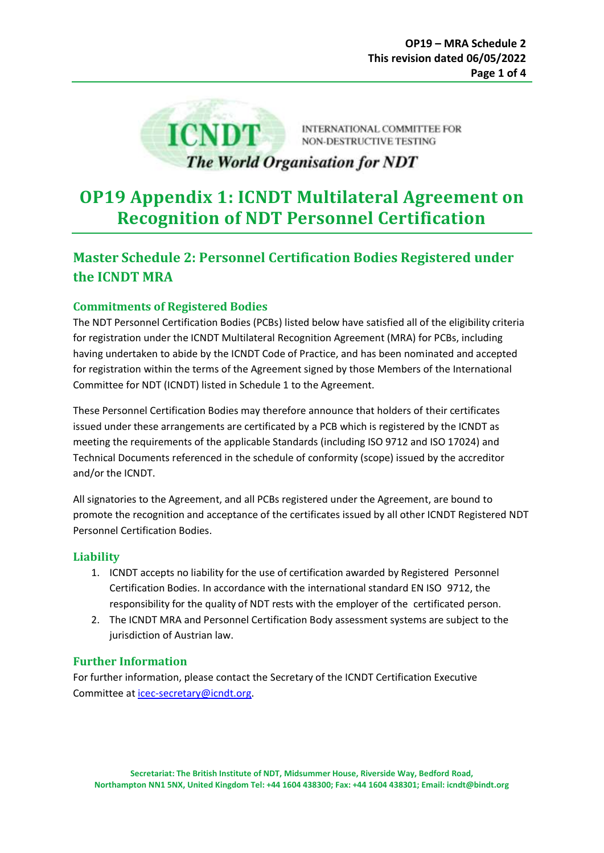

INTERNATIONAL COMMITTEE FOR NON-DESTRUCTIVE TESTING

## **The World Organisation for NDT**

# **OP19 Appendix 1: ICNDT Multilateral Agreement on Recognition of NDT Personnel Certification**

# **Master Schedule 2: Personnel Certification Bodies Registered under the ICNDT MRA**

### **Commitments of Registered Bodies**

The NDT Personnel Certification Bodies (PCBs) listed below have satisfied all of the eligibility criteria for registration under the ICNDT Multilateral Recognition Agreement (MRA) for PCBs, including having undertaken to abide by the ICNDT Code of Practice, and has been nominated and accepted for registration within the terms of the Agreement signed by those Members of the International Committee for NDT (ICNDT) listed in Schedule 1 to the Agreement.

These Personnel Certification Bodies may therefore announce that holders of their certificates issued under these arrangements are certificated by a PCB which is registered by the ICNDT as meeting the requirements of the applicable Standards (including ISO 9712 and ISO 17024) and Technical Documents referenced in the schedule of conformity (scope) issued by the accreditor and/or the ICNDT.

All signatories to the Agreement, and all PCBs registered under the Agreement, are bound to promote the recognition and acceptance of the certificates issued by all other ICNDT Registered NDT Personnel Certification Bodies.

#### **Liability**

- 1. ICNDT accepts no liability for the use of certification awarded by Registered Personnel Certification Bodies. In accordance with the international standard EN ISO 9712, the responsibility for the quality of NDT rests with the employer of the certificated person.
- 2. The ICNDT MRA and Personnel Certification Body assessment systems are subject to the jurisdiction of Austrian law.

#### **Further Information**

For further information, please contact the Secretary of the ICNDT Certification Executive Committee at [icec-secretary@icndt.org.](mailto:icec-secretary@icndt.org)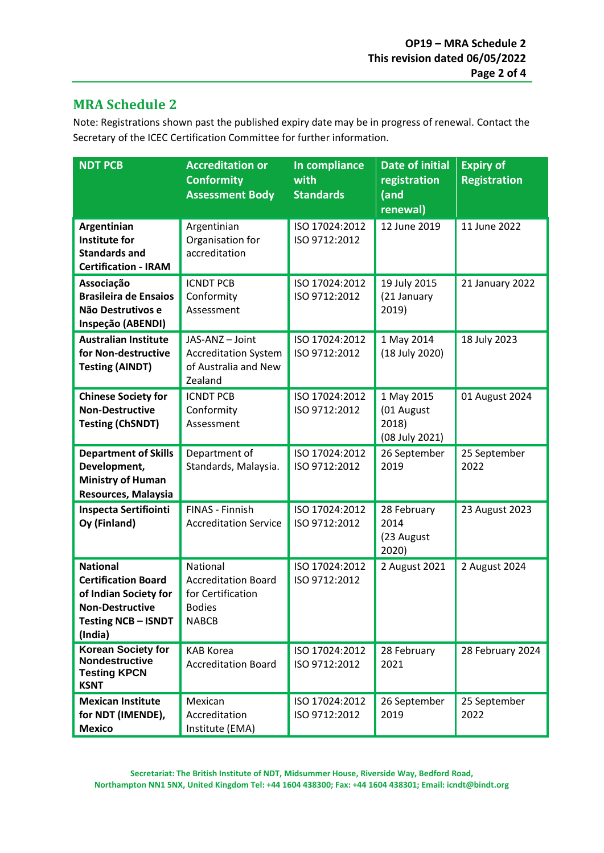## **MRA Schedule 2**

Note: Registrations shown past the published expiry date may be in progress of renewal. Contact the Secretary of the ICEC Certification Committee for further information.

| <b>NDT PCB</b>                                                                                                                          | <b>Accreditation or</b><br><b>Conformity</b><br><b>Assessment Body</b>                       | In compliance<br>with<br><b>Standards</b> | <b>Date of initial</b><br>registration<br>(and<br>renewal) | <b>Expiry of</b><br><b>Registration</b> |
|-----------------------------------------------------------------------------------------------------------------------------------------|----------------------------------------------------------------------------------------------|-------------------------------------------|------------------------------------------------------------|-----------------------------------------|
| Argentinian<br>Institute for<br><b>Standards and</b><br><b>Certification - IRAM</b>                                                     | Argentinian<br>Organisation for<br>accreditation                                             | ISO 17024:2012<br>ISO 9712:2012           | 12 June 2019                                               | 11 June 2022                            |
| Associação<br><b>Brasileira de Ensaios</b><br>Não Destrutivos e<br>Inspeção (ABENDI)                                                    | <b>ICNDT PCB</b><br>Conformity<br>Assessment                                                 | ISO 17024:2012<br>ISO 9712:2012           | 19 July 2015<br>(21 January<br>2019)                       | 21 January 2022                         |
| <b>Australian Institute</b><br>for Non-destructive<br><b>Testing (AINDT)</b>                                                            | JAS-ANZ-Joint<br><b>Accreditation System</b><br>of Australia and New<br>Zealand              | ISO 17024:2012<br>ISO 9712:2012           | 1 May 2014<br>(18 July 2020)                               | 18 July 2023                            |
| <b>Chinese Society for</b><br><b>Non-Destructive</b><br><b>Testing (ChSNDT)</b>                                                         | <b>ICNDT PCB</b><br>Conformity<br>Assessment                                                 | ISO 17024:2012<br>ISO 9712:2012           | 1 May 2015<br>(01 August<br>2018)<br>(08 July 2021)        | 01 August 2024                          |
| <b>Department of Skills</b><br>Development,<br><b>Ministry of Human</b><br>Resources, Malaysia                                          | Department of<br>Standards, Malaysia.                                                        | ISO 17024:2012<br>ISO 9712:2012           | 26 September<br>2019                                       | 25 September<br>2022                    |
| Inspecta Sertifiointi<br>Oy (Finland)                                                                                                   | FINAS - Finnish<br><b>Accreditation Service</b>                                              | ISO 17024:2012<br>ISO 9712:2012           | 28 February<br>2014<br>(23 August<br>2020)                 | 23 August 2023                          |
| <b>National</b><br><b>Certification Board</b><br>of Indian Society for<br><b>Non-Destructive</b><br><b>Testing NCB-ISNDT</b><br>(India) | National<br><b>Accreditation Board</b><br>for Certification<br><b>Bodies</b><br><b>NABCB</b> | ISO 17024:2012<br>ISO 9712:2012           | 2 August 2021                                              | 2 August 2024                           |
| <b>Korean Society for</b><br><b>Nondestructive</b><br><b>Testing KPCN</b><br><b>KSNT</b>                                                | <b>KAB Korea</b><br><b>Accreditation Board</b>                                               | ISO 17024:2012<br>ISO 9712:2012           | 28 February<br>2021                                        | 28 February 2024                        |
| <b>Mexican Institute</b><br>for NDT (IMENDE),<br><b>Mexico</b>                                                                          | Mexican<br>Accreditation<br>Institute (EMA)                                                  | ISO 17024:2012<br>ISO 9712:2012           | 26 September<br>2019                                       | 25 September<br>2022                    |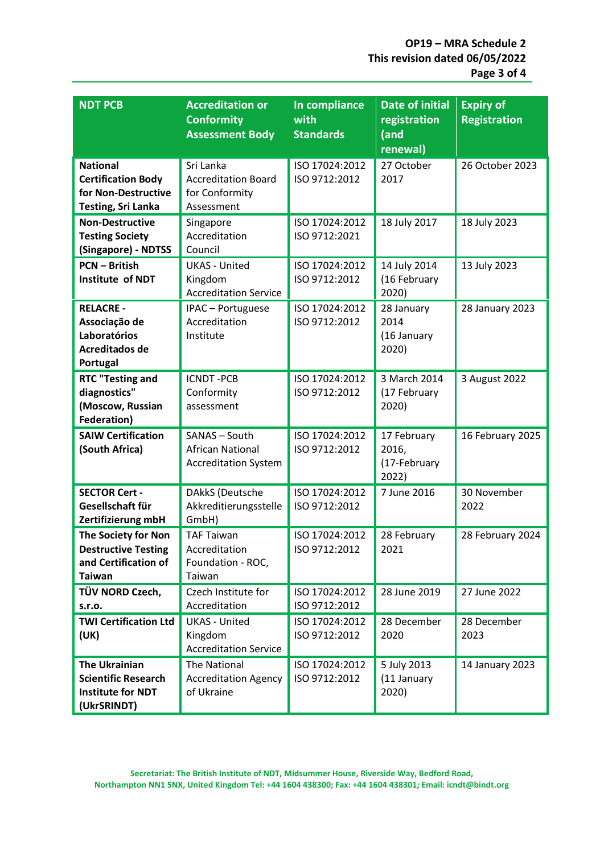| <b>NDT PCB</b>                                                                                   | <b>Accreditation or</b><br><b>Conformity</b><br><b>Assessment Body</b>  | In compliance<br>with<br><b>Standards</b> | <b>Date of initial</b><br>registration<br>(and<br>renewal) | <b>Expiry of</b><br><b>Registration</b> |
|--------------------------------------------------------------------------------------------------|-------------------------------------------------------------------------|-------------------------------------------|------------------------------------------------------------|-----------------------------------------|
| <b>National</b><br><b>Certification Body</b><br>for Non-Destructive<br><b>Testing, Sri Lanka</b> | Sri Lanka<br><b>Accreditation Board</b><br>for Conformity<br>Assessment | ISO 17024:2012<br>ISO 9712:2012           | 27 October<br>2017                                         | 26 October 2023                         |
| <b>Non-Destructive</b><br><b>Testing Society</b><br>(Singapore) - NDTSS                          | Singapore<br>Accreditation<br>Council                                   | ISO 17024:2012<br>ISO 9712:2021           | 18 July 2017                                               | 18 July 2023                            |
| <b>PCN - British</b><br>Institute of NDT                                                         | <b>UKAS - United</b><br>Kingdom<br><b>Accreditation Service</b>         | ISO 17024:2012<br>ISO 9712:2012           | 14 July 2014<br>(16 February<br>2020)                      | 13 July 2023                            |
| <b>RELACRE -</b><br>Associação de<br>Laboratórios<br>Acreditados de<br>Portugal                  | IPAC - Portuguese<br>Accreditation<br>Institute                         | ISO 17024:2012<br>ISO 9712:2012           | 28 January<br>2014<br>(16 January<br>2020)                 | 28 January 2023                         |
| <b>RTC "Testing and</b><br>diagnostics"<br>(Moscow, Russian<br>Federation)                       | <b>ICNDT-PCB</b><br>Conformity<br>assessment                            | ISO 17024:2012<br>ISO 9712:2012           | 3 March 2014<br>(17 February<br>2020)                      | 3 August 2022                           |
| <b>SAIW Certification</b><br>(South Africa)                                                      | SANAS - South<br><b>African National</b><br><b>Accreditation System</b> | ISO 17024:2012<br>ISO 9712:2012           | 17 February<br>2016,<br>(17-February<br>2022)              | 16 February 2025                        |
| <b>SECTOR Cert -</b><br>Gesellschaft für<br>Zertifizierung mbH                                   | DAkkS (Deutsche<br>Akkreditierungsstelle<br>GmbH)                       | ISO 17024:2012<br>ISO 9712:2012           | 7 June 2016                                                | 30 November<br>2022                     |
| The Society for Non<br><b>Destructive Testing</b><br>and Certification of<br><b>Taiwan</b>       | <b>TAF Taiwan</b><br>Accreditation<br>Foundation - ROC,<br>Taiwan       | ISO 17024:2012<br>ISO 9712:2012           | 28 February<br>2021                                        | 28 February 2024                        |
| TÜV NORD Czech,<br>s.r.o.                                                                        | Czech Institute for<br>Accreditation                                    | ISO 17024:2012<br>ISO 9712:2012           | 28 June 2019                                               | 27 June 2022                            |
| <b>TWI Certification Ltd</b><br>(UK)                                                             | <b>UKAS - United</b><br>Kingdom<br><b>Accreditation Service</b>         | ISO 17024:2012<br>ISO 9712:2012           | 28 December<br>2020                                        | 28 December<br>2023                     |
| <b>The Ukrainian</b><br><b>Scientific Research</b><br><b>Institute for NDT</b><br>(UkrSRINDT)    | The National<br><b>Accreditation Agency</b><br>of Ukraine               | ISO 17024:2012<br>ISO 9712:2012           | 5 July 2013<br>(11 January<br>2020)                        | 14 January 2023                         |